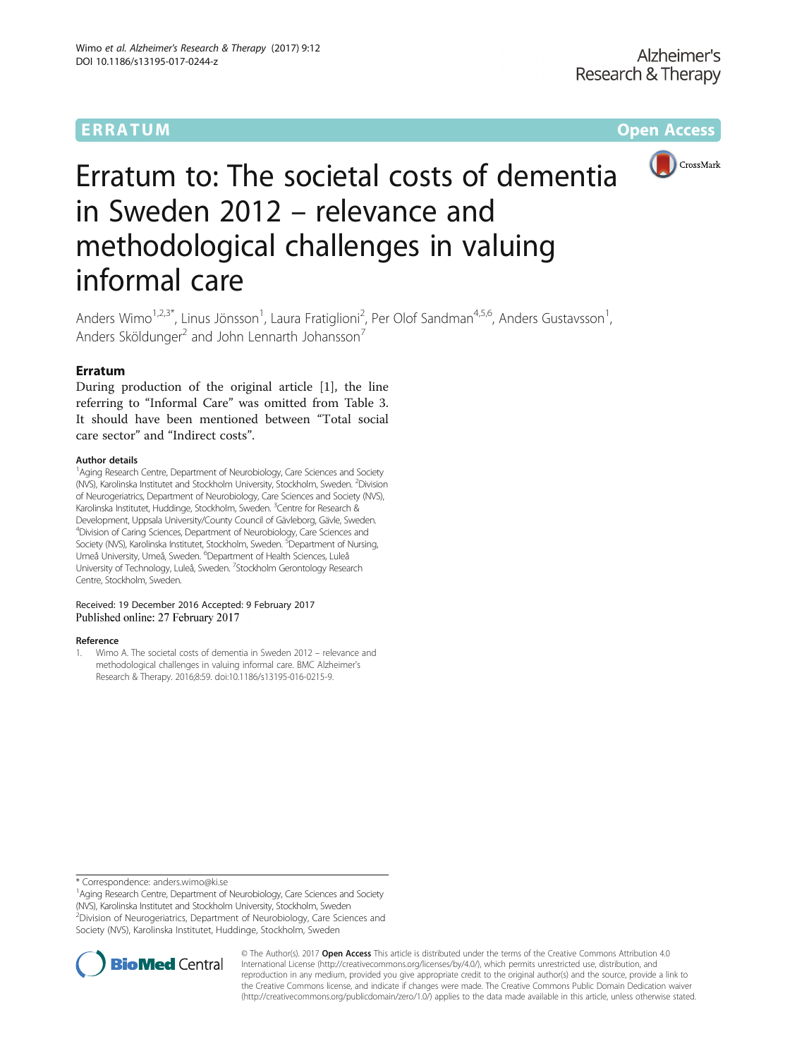ERRATUM ERRA TUM Open Access



# Erratum to: The societal costs of dementia in Sweden 2012 – relevance and methodological challenges in valuing informal care

Anders Wimo<sup>1,2,3\*</sup>, Linus Jönsson<sup>1</sup>, Laura Fratiglioni<sup>2</sup>, Per Olof Sandman<sup>4,5,6</sup>, Anders Gustavsson<sup>1</sup> , Anders Sköldunger<sup>2</sup> and John Lennarth Johansson<sup>7</sup>

## Erratum

During production of the original article [1], the line referring to "Informal Care" was omitted from Table [3](#page-1-0). It should have been mentioned between "Total social care sector" and "Indirect costs".

#### Author details

<sup>1</sup> Aging Research Centre, Department of Neurobiology, Care Sciences and Society (NVS), Karolinska Institutet and Stockholm University, Stockholm, Sweden. <sup>2</sup> Division of Neurogeriatrics, Department of Neurobiology, Care Sciences and Society (NVS), Karolinska Institutet, Huddinge, Stockholm, Sweden. <sup>3</sup>Centre for Research & Development, Uppsala University/County Council of Gävleborg, Gävle, Sweden. <sup>4</sup> Division of Caring Sciences, Department of Neurobiology, Care Sciences and Society (NVS), Karolinska Institutet, Stockholm, Sweden. <sup>5</sup>Department of Nursing, Umeå University, Umeå, Sweden. <sup>6</sup>Department of Health Sciences, Luleå University of Technology, Luleå, Sweden. <sup>7</sup>Stockholm Gerontology Research Centre, Stockholm, Sweden.

### Received: 19 December 2016 Accepted: 9 February 2017 Published online: 27 February 2017

#### Reference

1. Wimo A. The societal costs of dementia in Sweden 2012 – relevance and methodological challenges in valuing informal care. BMC Alzheimer's Research & Therapy. 2016;8:59. doi:[10.1186/s13195-016-0215-9](http://dx.doi.org/10.1186/s13195-016-0215-9).

\* Correspondence: [anders.wimo@ki.se](mailto:anders.wimo@ki.se) <sup>1</sup>

<sup>1</sup> Aging Research Centre, Department of Neurobiology, Care Sciences and Society (NVS), Karolinska Institutet and Stockholm University, Stockholm, Sweden <sup>2</sup> Division of Neurogeriatrics, Department of Neurobiology, Care Sciences and Society (NVS), Karolinska Institutet, Huddinge, Stockholm, Sweden



© The Author(s). 2017 **Open Access** This article is distributed under the terms of the Creative Commons Attribution 4.0 International License [\(http://creativecommons.org/licenses/by/4.0/](http://creativecommons.org/licenses/by/4.0/)), which permits unrestricted use, distribution, and reproduction in any medium, provided you give appropriate credit to the original author(s) and the source, provide a link to the Creative Commons license, and indicate if changes were made. The Creative Commons Public Domain Dedication waiver [\(http://creativecommons.org/publicdomain/zero/1.0/](http://creativecommons.org/publicdomain/zero/1.0/)) applies to the data made available in this article, unless otherwise stated.